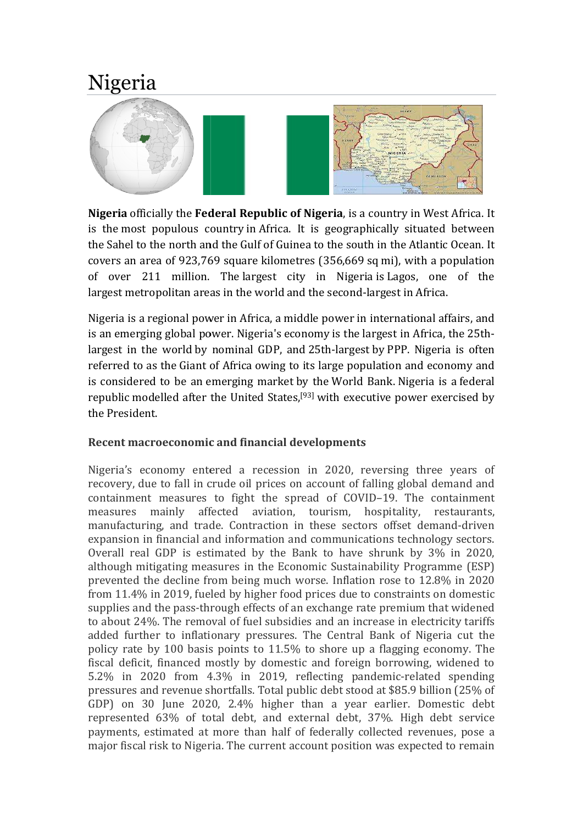## Nigeria



Nigeria officially the Federal Republic of Nigeria, is a country in is the most populous country in Africa. It is geographically situated between the Sahel to the north and the Gulf of Guinea to the south in the Atlantic Ocean. It covers an area of 923,769 square kilometres (356,669 sq mi), with a population of over 211 million. The 211 The largest city in Nigeria is Lagos, one of the largest metropolitan areas in the world and the second-largest in Africa.

Nigeria is a regional power in Africa, a middle power in international affairs, and is an emerging global power. Nigeria's economy is the largest in Africa largest in the world by nominal GDP, and 25th-largest by PPP. Nigeria is often referred to as the Giant of Africa owing to its large population and economy and is considered to be an emerging market by the World Bank. Nigeria is a republic modelled after the United States, [93] with executive power exercised by the President. ia is Lagos, one of the<br>largest in Africa.<br>international affairs, and<br>argest in Africa, the 25th-. Nigeria is often<br>and economy and<br>igeria is a federal

## Recent macroeconomic and financial developments

Nigeria's economy entered a recession in 2020, reversing three years of recovery, due to fall in crude oil prices on account of falling global demand and Nigeria's economy entered a recession in 2020, reversing three years of recovery, due to fall in crude oil prices on account of falling global demand and containment measures to fight the spread of COVID–19. The containmen measures mainly affect containment measures to fight the spread of COVID-19. The containment<br>measures mainly affected aviation, tourism, hospitality, restaurants,<br>manufacturing, and trade. Contraction in these sectors offset demand-driven expansion in financial and information and communications technology sectors. manufacturing, and trade. Contraction in these sectors offset demand-driven<br>expansion in financial and information and communications technology sectors.<br>Overall real GDP is estimated by the Bank to have shrunk by 3% in 20 although mitigating measures in the Economic Sustainability Programme (ESP) prevented the decline from being much worse. Inflation rose to 12.8% in 2020 from 11.4% in 2019, fueled by higher food prices due to constraints on domestic supplies and the pass-through effects of an exchange rate premium that widened to about 24%. The removal of fuel subsidies and an increase in electricity tariffs added further to inflationary pressures. The Central Bank of Nigeria cut the policy rate by 100 basis points to 11.5% to shore up a flagging economy. The fiscal deficit, financed mostly by domestic and foreign borrowing, widened to 5.2% in 2020 from 4.3% in 2019, reflecting pandemic pressures and revenue shortfalls. Total public debt stood at \$85.9 billion (25% of GDP) on 30 June 2020, 2.4% higher than a year earlier. Domestic debt represented 63% of total debt, and external debt, 37%. High debt service payments, estimated at more than half of federally collected revenues, pose a major fiscal risk to Nigeria. The current account position was expected to remain aviation, tourism, hospitality, restaurants, although mitigating measures in the Economic Sustainability Programme (ESP)<br>prevented the decline from being much worse. Inflation rose to 12.8% in 2020<br>from 11.4% in 2019, fueled by higher food prices due to constraints o o officially the **Federal Republic of Nigeria**, is a country in West Africa. It<br>nots populous country in Africa. It is geographically situated between<br>not elected in the outflow during Africa. The subsequence of the subseq *xe* shrunk by 3%<br>
ainability Program<br>
tion rose to 12.8<br>
e to constraints or<br>
rate premium tha<br>
increase in electri<br>
ral Bank of Niger<br>
up a flagging econ<br>
ign borrowing, w<br>
pandemic-related<br>
cood at \$85.9 billic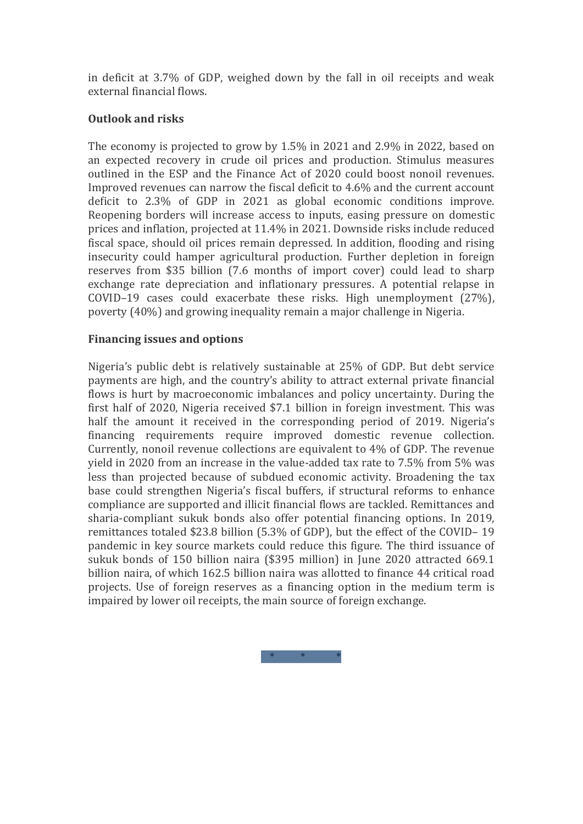in deficit at 3.7% of GDP, weighed down by the fall in oil receipts and weak external financial flows.

## Outlook and risks

The economy is projected to grow by 1.5% in 2021 and 2.9% in 2022, based on an expected recovery in crude oil prices and production. Stimulus measures outlined in the ESP and the Finance Act of 2020 could boost nonoil revenues. Improved revenues can narrow the fiscal deficit to 4.6% and the current account deficit to 2.3% of GDP in 2021 as global economic conditions improve. Reopening borders will increase access to inputs, easing pressure on domestic prices and inflation, projected at 11.4% in 2021. Downside risks include reduced fiscal space, should oil prices remain depressed. In addition, flooding and rising insecurity could hamper agricultural production. Further depletion in foreign reserves from \$35 billion (7.6 months of import cover) could lead to sharp exchange rate depreciation and inflationary pressures. A potential relapse in COVID–19 cases could exacerbate these risks. High unemployment (27%), poverty (40%) and growing inequality remain a major challenge in Nigeria.

## Financing issues and options

Nigeria's public debt is relatively sustainable at 25% of GDP. But debt service payments are high, and the country's ability to attract external private financial flows is hurt by macroeconomic imbalances and policy uncertainty. During the first half of 2020, Nigeria received \$7.1 billion in foreign investment. This was half the amount it received in the corresponding period of 2019. Nigeria's financing requirements require improved domestic revenue collection. Currently, nonoil revenue collections are equivalent to 4% of GDP. The revenue yield in 2020 from an increase in the value-added tax rate to 7.5% from 5% was less than projected because of subdued economic activity. Broadening the tax base could strengthen Nigeria's fiscal buffers, if structural reforms to enhance compliance are supported and illicit financial flows are tackled. Remittances and sharia-compliant sukuk bonds also offer potential financing options. In 2019, remittances totaled \$23.8 billion (5.3% of GDP), but the effect of the COVID– 19 pandemic in key source markets could reduce this figure. The third issuance of sukuk bonds of 150 billion naira (\$395 million) in June 2020 attracted 669.1 billion naira, of which 162.5 billion naira was allotted to finance 44 critical road projects. Use of foreign reserves as a financing option in the medium term is impaired by lower oil receipts, the main source of foreign exchange.